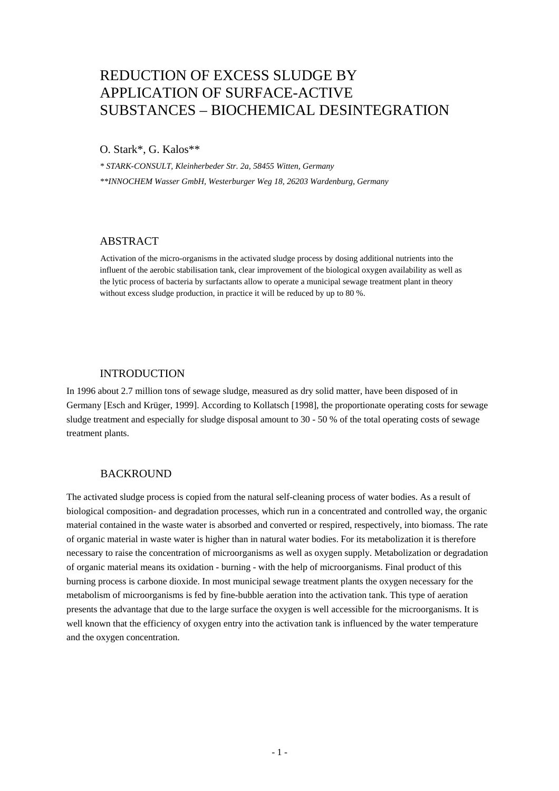# REDUCTION OF EXCESS SLUDGE BY APPLICATION OF SURFACE-ACTIVE SUBSTANCES – BIOCHEMICAL DESINTEGRATION

O. Stark\*, G. Kalos\*\*

*\* STARK-CONSULT, Kleinherbeder Str. 2a, 58455 Witten, Germany \*\*INNOCHEM Wasser GmbH, Westerburger Weg 18, 26203 Wardenburg, Germany* 

## ABSTRACT

Activation of the micro-organisms in the activated sludge process by dosing additional nutrients into the influent of the aerobic stabilisation tank, clear improvement of the biological oxygen availability as well as the lytic process of bacteria by surfactants allow to operate a municipal sewage treatment plant in theory without excess sludge production, in practice it will be reduced by up to 80 %.

# INTRODUCTION

In 1996 about 2.7 million tons of sewage sludge, measured as dry solid matter, have been disposed of in Germany [Esch and Krüger, 1999]. According to Kollatsch [1998], the proportionate operating costs for sewage sludge treatment and especially for sludge disposal amount to 30 - 50 % of the total operating costs of sewage treatment plants.

## BACKROUND

The activated sludge process is copied from the natural self-cleaning process of water bodies. As a result of biological composition- and degradation processes, which run in a concentrated and controlled way, the organic material contained in the waste water is absorbed and converted or respired, respectively, into biomass. The rate of organic material in waste water is higher than in natural water bodies. For its metabolization it is therefore necessary to raise the concentration of microorganisms as well as oxygen supply. Metabolization or degradation of organic material means its oxidation - burning - with the help of microorganisms. Final product of this burning process is carbone dioxide. In most municipal sewage treatment plants the oxygen necessary for the metabolism of microorganisms is fed by fine-bubble aeration into the activation tank. This type of aeration presents the advantage that due to the large surface the oxygen is well accessible for the microorganisms. It is well known that the efficiency of oxygen entry into the activation tank is influenced by the water temperature and the oxygen concentration.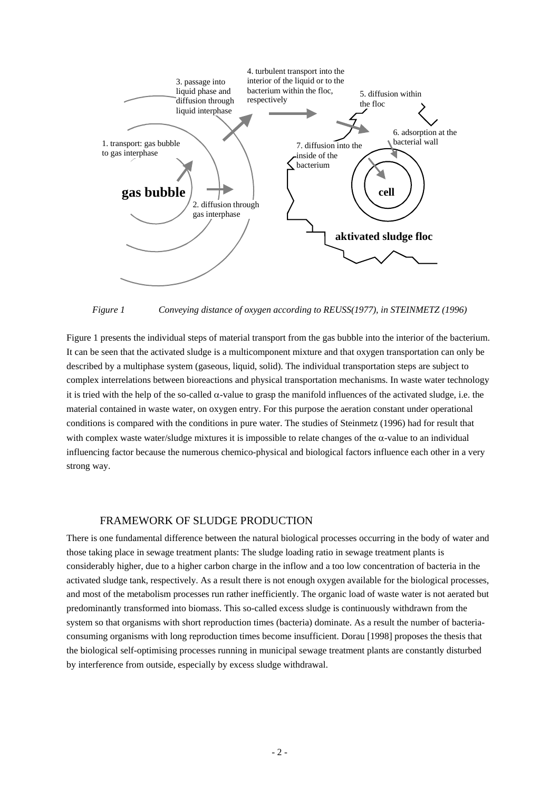

*Figure 1 Conveying distance of oxygen according to REUSS(1977), in STEINMETZ (1996)* 

Figure 1 presents the individual steps of material transport from the gas bubble into the interior of the bacterium. It can be seen that the activated sludge is a multicomponent mixture and that oxygen transportation can only be described by a multiphase system (gaseous, liquid, solid). The individual transportation steps are subject to complex interrelations between bioreactions and physical transportation mechanisms. In waste water technology it is tried with the help of the so-called  $\alpha$ -value to grasp the manifold influences of the activated sludge, i.e. the material contained in waste water, on oxygen entry. For this purpose the aeration constant under operational conditions is compared with the conditions in pure water. The studies of Steinmetz (1996) had for result that with complex waste water/sludge mixtures it is impossible to relate changes of the  $\alpha$ -value to an individual influencing factor because the numerous chemico-physical and biological factors influence each other in a very strong way.

## FRAMEWORK OF SLUDGE PRODUCTION

There is one fundamental difference between the natural biological processes occurring in the body of water and those taking place in sewage treatment plants: The sludge loading ratio in sewage treatment plants is considerably higher, due to a higher carbon charge in the inflow and a too low concentration of bacteria in the activated sludge tank, respectively. As a result there is not enough oxygen available for the biological processes, and most of the metabolism processes run rather inefficiently. The organic load of waste water is not aerated but predominantly transformed into biomass. This so-called excess sludge is continuously withdrawn from the system so that organisms with short reproduction times (bacteria) dominate. As a result the number of bacteriaconsuming organisms with long reproduction times become insufficient. Dorau [1998] proposes the thesis that the biological self-optimising processes running in municipal sewage treatment plants are constantly disturbed by interference from outside, especially by excess sludge withdrawal.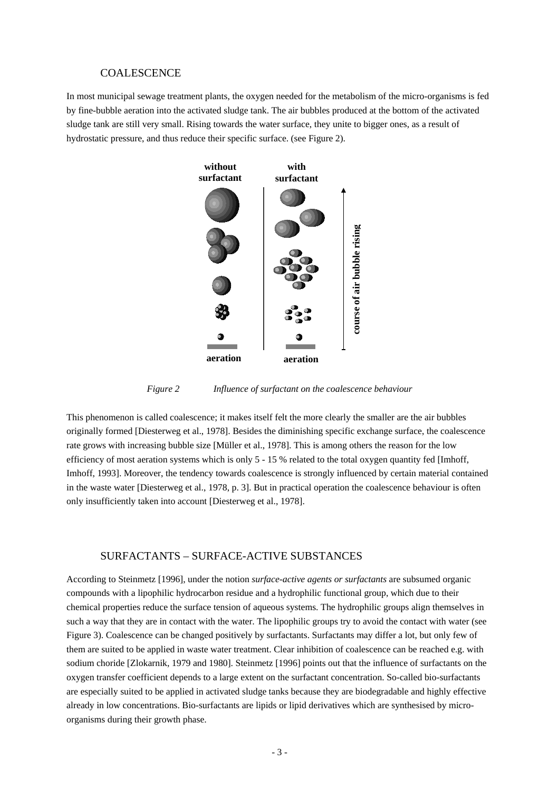#### COALESCENCE

In most municipal sewage treatment plants, the oxygen needed for the metabolism of the micro-organisms is fed by fine-bubble aeration into the activated sludge tank. The air bubbles produced at the bottom of the activated sludge tank are still very small. Rising towards the water surface, they unite to bigger ones, as a result of hydrostatic pressure, and thus reduce their specific surface. (see Figure 2).



*Figure 2 Influence of surfactant on the coalescence behaviour* 

This phenomenon is called coalescence; it makes itself felt the more clearly the smaller are the air bubbles originally formed [Diesterweg et al., 1978]. Besides the diminishing specific exchange surface, the coalescence rate grows with increasing bubble size [Müller et al., 1978]. This is among others the reason for the low efficiency of most aeration systems which is only 5 - 15 % related to the total oxygen quantity fed [Imhoff, Imhoff, 1993]. Moreover, the tendency towards coalescence is strongly influenced by certain material contained in the waste water [Diesterweg et al., 1978, p. 3]. But in practical operation the coalescence behaviour is often only insufficiently taken into account [Diesterweg et al., 1978].

#### SURFACTANTS – SURFACE-ACTIVE SUBSTANCES

According to Steinmetz [1996], under the notion *surface-active agents or surfactants* are subsumed organic compounds with a lipophilic hydrocarbon residue and a hydrophilic functional group, which due to their chemical properties reduce the surface tension of aqueous systems. The hydrophilic groups align themselves in such a way that they are in contact with the water. The lipophilic groups try to avoid the contact with water (see Figure 3). Coalescence can be changed positively by surfactants. Surfactants may differ a lot, but only few of them are suited to be applied in waste water treatment. Clear inhibition of coalescence can be reached e.g. with sodium choride [Zlokarnik, 1979 and 1980]. Steinmetz [1996] points out that the influence of surfactants on the oxygen transfer coefficient depends to a large extent on the surfactant concentration. So-called bio-surfactants are especially suited to be applied in activated sludge tanks because they are biodegradable and highly effective already in low concentrations. Bio-surfactants are lipids or lipid derivatives which are synthesised by microorganisms during their growth phase.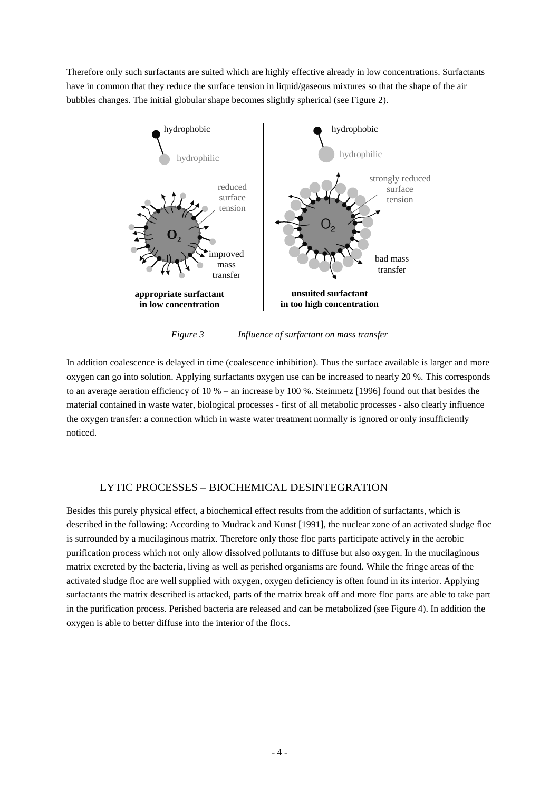Therefore only such surfactants are suited which are highly effective already in low concentrations. Surfactants have in common that they reduce the surface tension in liquid/gaseous mixtures so that the shape of the air bubbles changes. The initial globular shape becomes slightly spherical (see Figure 2).



*Figure 3 Influence of surfactant on mass transfer* 

In addition coalescence is delayed in time (coalescence inhibition). Thus the surface available is larger and more oxygen can go into solution. Applying surfactants oxygen use can be increased to nearly 20 %. This corresponds to an average aeration efficiency of 10 % – an increase by 100 %. Steinmetz [1996] found out that besides the material contained in waste water, biological processes - first of all metabolic processes - also clearly influence the oxygen transfer: a connection which in waste water treatment normally is ignored or only insufficiently noticed.

# LYTIC PROCESSES – BIOCHEMICAL DESINTEGRATION

Besides this purely physical effect, a biochemical effect results from the addition of surfactants, which is described in the following: According to Mudrack and Kunst [1991], the nuclear zone of an activated sludge floc is surrounded by a mucilaginous matrix. Therefore only those floc parts participate actively in the aerobic purification process which not only allow dissolved pollutants to diffuse but also oxygen. In the mucilaginous matrix excreted by the bacteria, living as well as perished organisms are found. While the fringe areas of the activated sludge floc are well supplied with oxygen, oxygen deficiency is often found in its interior. Applying surfactants the matrix described is attacked, parts of the matrix break off and more floc parts are able to take part in the purification process. Perished bacteria are released and can be metabolized (see Figure 4). In addition the oxygen is able to better diffuse into the interior of the flocs.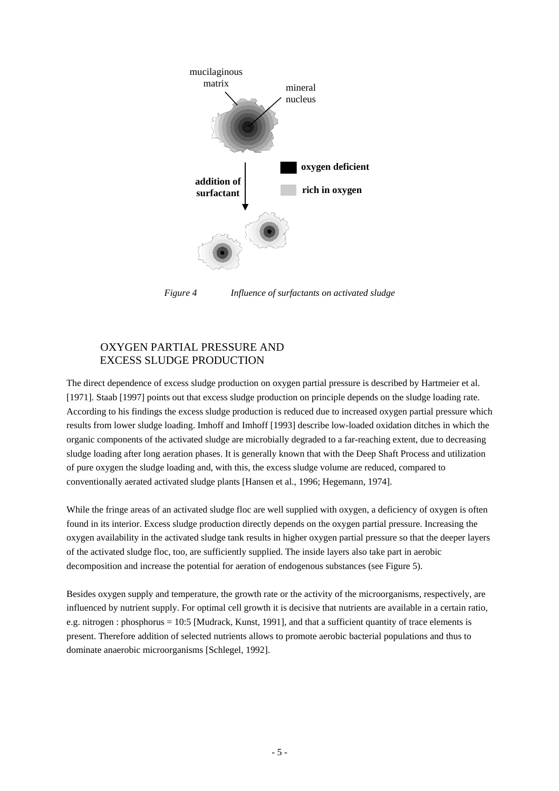

*Figure 4 Influence of surfactants on activated sludge* 

# OXYGEN PARTIAL PRESSURE AND EXCESS SLUDGE PRODUCTION

The direct dependence of excess sludge production on oxygen partial pressure is described by Hartmeier et al. [1971]. Staab [1997] points out that excess sludge production on principle depends on the sludge loading rate. According to his findings the excess sludge production is reduced due to increased oxygen partial pressure which results from lower sludge loading. Imhoff and Imhoff [1993] describe low-loaded oxidation ditches in which the organic components of the activated sludge are microbially degraded to a far-reaching extent, due to decreasing sludge loading after long aeration phases. It is generally known that with the Deep Shaft Process and utilization of pure oxygen the sludge loading and, with this, the excess sludge volume are reduced, compared to conventionally aerated activated sludge plants [Hansen et al., 1996; Hegemann, 1974].

While the fringe areas of an activated sludge floc are well supplied with oxygen, a deficiency of oxygen is often found in its interior. Excess sludge production directly depends on the oxygen partial pressure. Increasing the oxygen availability in the activated sludge tank results in higher oxygen partial pressure so that the deeper layers of the activated sludge floc, too, are sufficiently supplied. The inside layers also take part in aerobic decomposition and increase the potential for aeration of endogenous substances (see Figure 5).

Besides oxygen supply and temperature, the growth rate or the activity of the microorganisms, respectively, are influenced by nutrient supply. For optimal cell growth it is decisive that nutrients are available in a certain ratio, e.g. nitrogen : phosphorus = 10:5 [Mudrack, Kunst, 1991], and that a sufficient quantity of trace elements is present. Therefore addition of selected nutrients allows to promote aerobic bacterial populations and thus to dominate anaerobic microorganisms [Schlegel, 1992].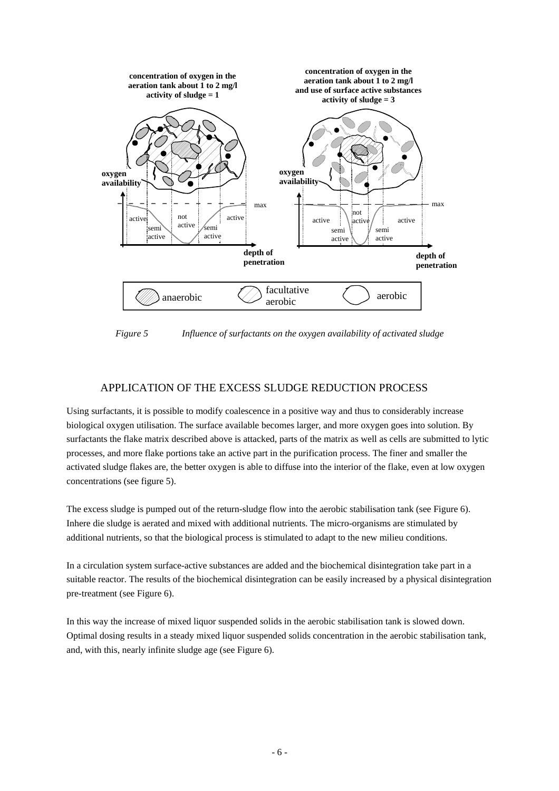

*Figure 5 Influence of surfactants on the oxygen availability of activated sludge* 

# APPLICATION OF THE EXCESS SLUDGE REDUCTION PROCESS

Using surfactants, it is possible to modify coalescence in a positive way and thus to considerably increase biological oxygen utilisation. The surface available becomes larger, and more oxygen goes into solution. By surfactants the flake matrix described above is attacked, parts of the matrix as well as cells are submitted to lytic processes, and more flake portions take an active part in the purification process. The finer and smaller the activated sludge flakes are, the better oxygen is able to diffuse into the interior of the flake, even at low oxygen concentrations (see figure 5).

The excess sludge is pumped out of the return-sludge flow into the aerobic stabilisation tank (see Figure 6). Inhere die sludge is aerated and mixed with additional nutrients. The micro-organisms are stimulated by additional nutrients, so that the biological process is stimulated to adapt to the new milieu conditions.

In a circulation system surface-active substances are added and the biochemical disintegration take part in a suitable reactor. The results of the biochemical disintegration can be easily increased by a physical disintegration pre-treatment (see Figure 6).

In this way the increase of mixed liquor suspended solids in the aerobic stabilisation tank is slowed down. Optimal dosing results in a steady mixed liquor suspended solids concentration in the aerobic stabilisation tank, and, with this, nearly infinite sludge age (see Figure 6).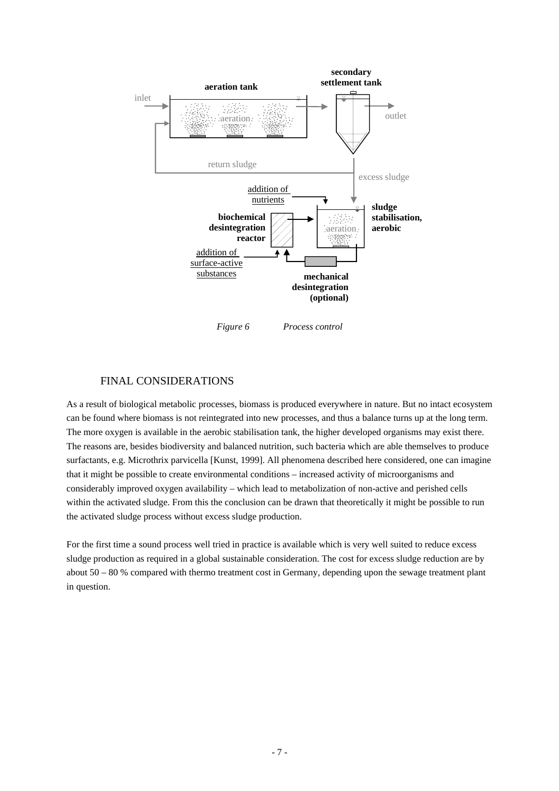

## FINAL CONSIDERATIONS

As a result of biological metabolic processes, biomass is produced everywhere in nature. But no intact ecosystem can be found where biomass is not reintegrated into new processes, and thus a balance turns up at the long term. The more oxygen is available in the aerobic stabilisation tank, the higher developed organisms may exist there. The reasons are, besides biodiversity and balanced nutrition, such bacteria which are able themselves to produce surfactants, e.g. Microthrix parvicella [Kunst, 1999]. All phenomena described here considered, one can imagine that it might be possible to create environmental conditions – increased activity of microorganisms and considerably improved oxygen availability – which lead to metabolization of non-active and perished cells within the activated sludge. From this the conclusion can be drawn that theoretically it might be possible to run the activated sludge process without excess sludge production.

For the first time a sound process well tried in practice is available which is very well suited to reduce excess sludge production as required in a global sustainable consideration. The cost for excess sludge reduction are by about 50 – 80 % compared with thermo treatment cost in Germany, depending upon the sewage treatment plant in question.